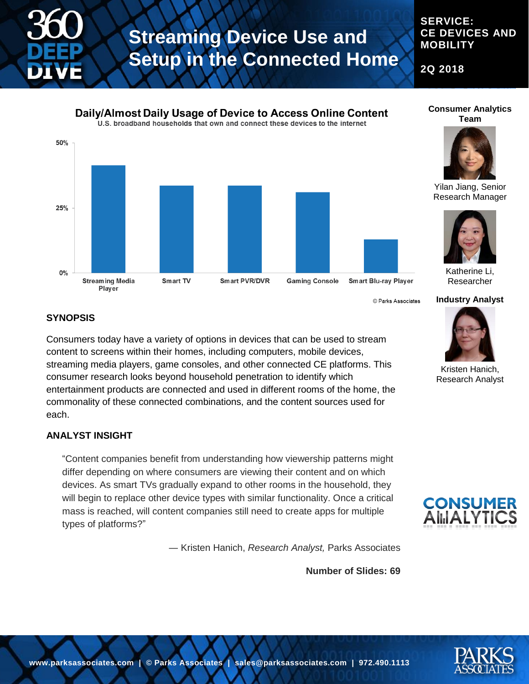

#### **SERVICE: CE DEVICES AND MOBILITY**

**2Q 2018**



© Parks Associates

#### **Consumer Analytics Team**



Yilan Jiang, Senior Research Manager



Katherine Li, Researcher

**Industry Analyst**



Kristen Hanich, Research Analyst



#### **SYNOPSIS**

Consumers today have a variety of options in devices that can be used to stream content to screens within their homes, including computers, mobile devices, streaming media players, game consoles, and other connected CE platforms. This consumer research looks beyond household penetration to identify which entertainment products are connected and used in different rooms of the home, the commonality of these connected combinations, and the content sources used for each.

#### **ANALYST INSIGHT**

"Content companies benefit from understanding how viewership patterns might differ depending on where consumers are viewing their content and on which devices. As smart TVs gradually expand to other rooms in the household, they will begin to replace other device types with similar functionality. Once a critical mass is reached, will content companies still need to create apps for multiple types of platforms?"

― Kristen Hanich, *Research Analyst,* Parks Associates

**Number of Slides: 69**



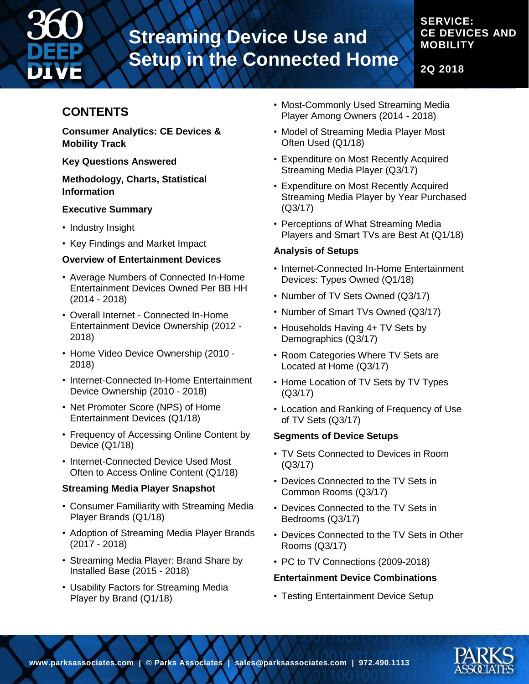

#### **SERVICE: CE DEVICES AND MOBILITY**

**2Q 2018**

### **CONTENTS**

**Consumer Analytics: CE Devices & Mobility Track**

**Key Questions Answered**

#### **Methodology, Charts, Statistical Information**

#### **Executive Summary**

- Industry Insight
- Key Findings and Market Impact

#### **Overview of Entertainment Devices**

- Average Numbers of Connected In-Home Entertainment Devices Owned Per BB HH (2014 - 2018)
- Overall Internet Connected In-Home Entertainment Device Ownership (2012 - 2018)
- Home Video Device Ownership (2010 2018)
- Internet-Connected In-Home Entertainment Device Ownership (2010 - 2018)
- Net Promoter Score (NPS) of Home Entertainment Devices (Q1/18)
- Frequency of Accessing Online Content by Device (Q1/18)
- Internet-Connected Device Used Most Often to Access Online Content (Q1/18)

#### **Streaming Media Player Snapshot**

- Consumer Familiarity with Streaming Media Player Brands (Q1/18)
- Adoption of Streaming Media Player Brands (2017 - 2018)
- Streaming Media Player: Brand Share by Installed Base (2015 - 2018)
- Usability Factors for Streaming Media Player by Brand (Q1/18)
- Most-Commonly Used Streaming Media Player Among Owners (2014 - 2018)
- Model of Streaming Media Player Most Often Used (Q1/18)
- Expenditure on Most Recently Acquired Streaming Media Player (Q3/17)
- Expenditure on Most Recently Acquired Streaming Media Player by Year Purchased (Q3/17)
- Perceptions of What Streaming Media Players and Smart TVs are Best At (Q1/18)

#### **Analysis of Setups**

- Internet-Connected In-Home Entertainment Devices: Types Owned (Q1/18)
- Number of TV Sets Owned (Q3/17)
- Number of Smart TVs Owned (Q3/17)
- Households Having 4+ TV Sets by Demographics (Q3/17)
- Room Categories Where TV Sets are Located at Home (Q3/17)
- Home Location of TV Sets by TV Types (Q3/17)
- Location and Ranking of Frequency of Use of TV Sets (Q3/17)

#### **Segments of Device Setups**

- TV Sets Connected to Devices in Room (Q3/17)
- Devices Connected to the TV Sets in Common Rooms (Q3/17)
- Devices Connected to the TV Sets in Bedrooms (Q3/17)
- Devices Connected to the TV Sets in Other Rooms (Q3/17)
- PC to TV Connections (2009-2018)

#### **Entertainment Device Combinations**

• Testing Entertainment Device Setup

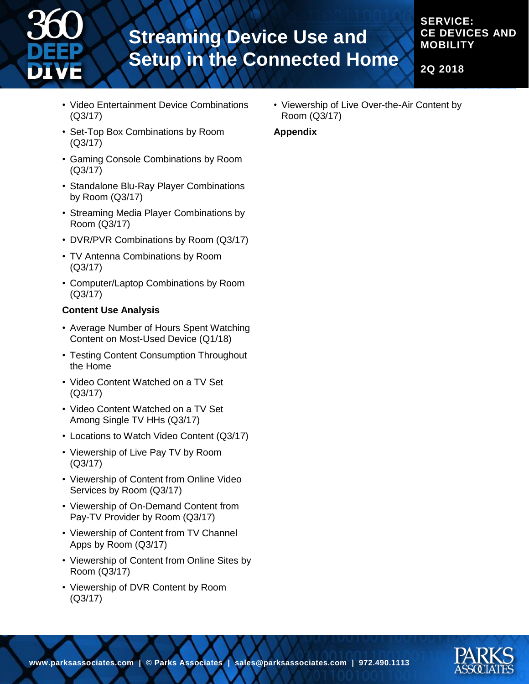

#### **SERVICE: CE DEVICES AND MOBILITY**

**2Q 2018**

- Video Entertainment Device Combinations (Q3/17)
- Set-Top Box Combinations by Room (Q3/17)
- Gaming Console Combinations by Room (Q3/17)
- Standalone Blu-Ray Player Combinations by Room (Q3/17)
- Streaming Media Player Combinations by Room (Q3/17)
- DVR/PVR Combinations by Room (Q3/17)
- TV Antenna Combinations by Room (Q3/17)
- Computer/Laptop Combinations by Room (Q3/17)

#### **Content Use Analysis**

- Average Number of Hours Spent Watching Content on Most-Used Device (Q1/18)
- Testing Content Consumption Throughout the Home
- Video Content Watched on a TV Set (Q3/17)
- Video Content Watched on a TV Set Among Single TV HHs (Q3/17)
- Locations to Watch Video Content (Q3/17)
- Viewership of Live Pay TV by Room (Q3/17)
- Viewership of Content from Online Video Services by Room (Q3/17)
- Viewership of On-Demand Content from Pay-TV Provider by Room (Q3/17)
- Viewership of Content from TV Channel Apps by Room (Q3/17)
- Viewership of Content from Online Sites by Room (Q3/17)
- Viewership of DVR Content by Room (Q3/17)

• Viewership of Live Over-the-Air Content by Room (Q3/17)

#### **Appendix**